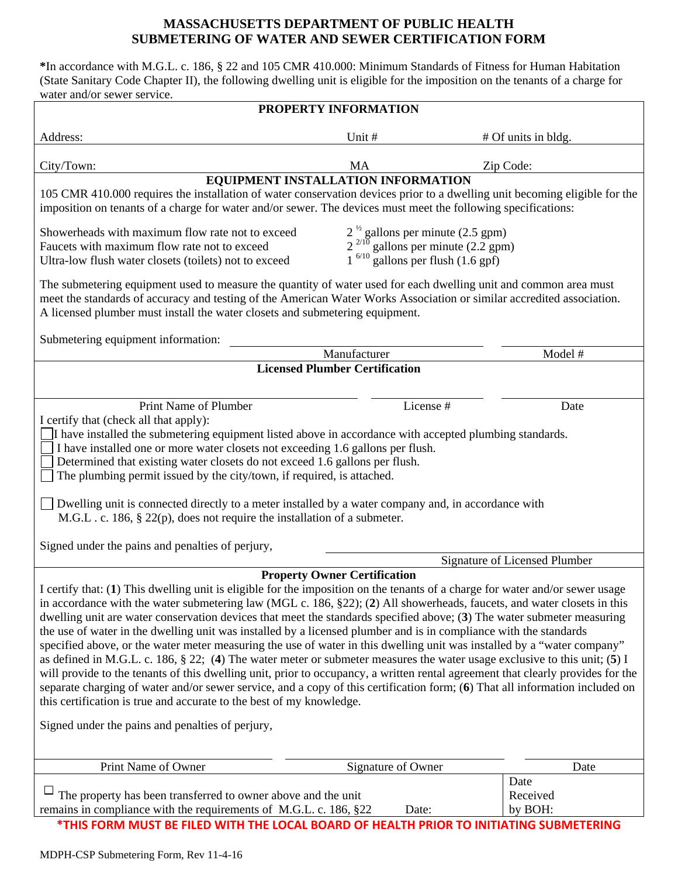## **MASSACHUSETTS DEPARTMENT OF PUBLIC HEALTH SUBMETERING OF WATER AND SEWER CERTIFICATION FORM**

**\***In accordance with M.G.L. c. 186, § 22 and 105 CMR 410.000: Minimum Standards of Fitness for Human Habitation (State Sanitary Code Chapter II), the following dwelling unit is eligible for the imposition on the tenants of a charge for water and/or sewer service.

| PROPERTY INFORMATION                                                                                                                                                                                                                                                                                                                                                                                                                                                                                                                                                                                                                                                                                                                                                                                                                                                                                                                                                                                                                                                                                                                                           |                                                                                                                                     |           |                             |
|----------------------------------------------------------------------------------------------------------------------------------------------------------------------------------------------------------------------------------------------------------------------------------------------------------------------------------------------------------------------------------------------------------------------------------------------------------------------------------------------------------------------------------------------------------------------------------------------------------------------------------------------------------------------------------------------------------------------------------------------------------------------------------------------------------------------------------------------------------------------------------------------------------------------------------------------------------------------------------------------------------------------------------------------------------------------------------------------------------------------------------------------------------------|-------------------------------------------------------------------------------------------------------------------------------------|-----------|-----------------------------|
|                                                                                                                                                                                                                                                                                                                                                                                                                                                                                                                                                                                                                                                                                                                                                                                                                                                                                                                                                                                                                                                                                                                                                                |                                                                                                                                     |           |                             |
| Address:                                                                                                                                                                                                                                                                                                                                                                                                                                                                                                                                                                                                                                                                                                                                                                                                                                                                                                                                                                                                                                                                                                                                                       | Unit #                                                                                                                              |           | # Of units in bldg.         |
| City/Town:                                                                                                                                                                                                                                                                                                                                                                                                                                                                                                                                                                                                                                                                                                                                                                                                                                                                                                                                                                                                                                                                                                                                                     | MA                                                                                                                                  |           | Zip Code:                   |
| EQUIPMENT INSTALLATION INFORMATION                                                                                                                                                                                                                                                                                                                                                                                                                                                                                                                                                                                                                                                                                                                                                                                                                                                                                                                                                                                                                                                                                                                             |                                                                                                                                     |           |                             |
| 105 CMR 410.000 requires the installation of water conservation devices prior to a dwelling unit becoming eligible for the<br>imposition on tenants of a charge for water and/or sewer. The devices must meet the following specifications:                                                                                                                                                                                                                                                                                                                                                                                                                                                                                                                                                                                                                                                                                                                                                                                                                                                                                                                    |                                                                                                                                     |           |                             |
| Showerheads with maximum flow rate not to exceed<br>Faucets with maximum flow rate not to exceed<br>Ultra-low flush water closets (toilets) not to exceed                                                                                                                                                                                                                                                                                                                                                                                                                                                                                                                                                                                                                                                                                                                                                                                                                                                                                                                                                                                                      | $2^{\frac{1}{2}}$ gallons per minute (2.5 gpm)<br>$2^{2/10}$ gallons per minute (2.2 gpm)<br>$1^{6/10}$ gallons per flush (1.6 gpf) |           |                             |
| The submetering equipment used to measure the quantity of water used for each dwelling unit and common area must<br>meet the standards of accuracy and testing of the American Water Works Association or similar accredited association.<br>A licensed plumber must install the water closets and submetering equipment.                                                                                                                                                                                                                                                                                                                                                                                                                                                                                                                                                                                                                                                                                                                                                                                                                                      |                                                                                                                                     |           |                             |
| Submetering equipment information:                                                                                                                                                                                                                                                                                                                                                                                                                                                                                                                                                                                                                                                                                                                                                                                                                                                                                                                                                                                                                                                                                                                             |                                                                                                                                     |           |                             |
|                                                                                                                                                                                                                                                                                                                                                                                                                                                                                                                                                                                                                                                                                                                                                                                                                                                                                                                                                                                                                                                                                                                                                                | Manufacturer                                                                                                                        |           | Model #                     |
| <b>Licensed Plumber Certification</b>                                                                                                                                                                                                                                                                                                                                                                                                                                                                                                                                                                                                                                                                                                                                                                                                                                                                                                                                                                                                                                                                                                                          |                                                                                                                                     |           |                             |
| Print Name of Plumber                                                                                                                                                                                                                                                                                                                                                                                                                                                                                                                                                                                                                                                                                                                                                                                                                                                                                                                                                                                                                                                                                                                                          |                                                                                                                                     | License # | Date                        |
| I certify that (check all that apply):<br>I have installed the submetering equipment listed above in accordance with accepted plumbing standards.<br>I have installed one or more water closets not exceeding 1.6 gallons per flush.<br>Determined that existing water closets do not exceed 1.6 gallons per flush.<br>The plumbing permit issued by the city/town, if required, is attached.<br>Dwelling unit is connected directly to a meter installed by a water company and, in accordance with<br>M.G.L. c. 186, § 22(p), does not require the installation of a submeter.                                                                                                                                                                                                                                                                                                                                                                                                                                                                                                                                                                               |                                                                                                                                     |           |                             |
|                                                                                                                                                                                                                                                                                                                                                                                                                                                                                                                                                                                                                                                                                                                                                                                                                                                                                                                                                                                                                                                                                                                                                                |                                                                                                                                     |           |                             |
| Signed under the pains and penalties of perjury,                                                                                                                                                                                                                                                                                                                                                                                                                                                                                                                                                                                                                                                                                                                                                                                                                                                                                                                                                                                                                                                                                                               |                                                                                                                                     |           |                             |
| Signature of Licensed Plumber<br><b>Property Owner Certification</b>                                                                                                                                                                                                                                                                                                                                                                                                                                                                                                                                                                                                                                                                                                                                                                                                                                                                                                                                                                                                                                                                                           |                                                                                                                                     |           |                             |
| I certify that: (1) This dwelling unit is eligible for the imposition on the tenants of a charge for water and/or sewer usage<br>in accordance with the water submetering law (MGL c. 186, §22); (2) All showerheads, faucets, and water closets in this<br>dwelling unit are water conservation devices that meet the standards specified above; (3) The water submeter measuring<br>the use of water in the dwelling unit was installed by a licensed plumber and is in compliance with the standards<br>specified above, or the water meter measuring the use of water in this dwelling unit was installed by a "water company"<br>as defined in M.G.L. c. 186, § 22; (4) The water meter or submeter measures the water usage exclusive to this unit; (5) I<br>will provide to the tenants of this dwelling unit, prior to occupancy, a written rental agreement that clearly provides for the<br>separate charging of water and/or sewer service, and a copy of this certification form; (6) That all information included on<br>this certification is true and accurate to the best of my knowledge.<br>Signed under the pains and penalties of perjury, |                                                                                                                                     |           |                             |
| Print Name of Owner                                                                                                                                                                                                                                                                                                                                                                                                                                                                                                                                                                                                                                                                                                                                                                                                                                                                                                                                                                                                                                                                                                                                            | Signature of Owner                                                                                                                  |           | Date                        |
| The property has been transferred to owner above and the unit<br>remains in compliance with the requirements of M.G.L. c. 186, §22<br>*THIS FORM MUST BE FILED WITH THE LOCAL BOARD OF HEALTH PRIOR TO INITIATING SUBMETERING                                                                                                                                                                                                                                                                                                                                                                                                                                                                                                                                                                                                                                                                                                                                                                                                                                                                                                                                  |                                                                                                                                     | Date:     | Date<br>Received<br>by BOH: |